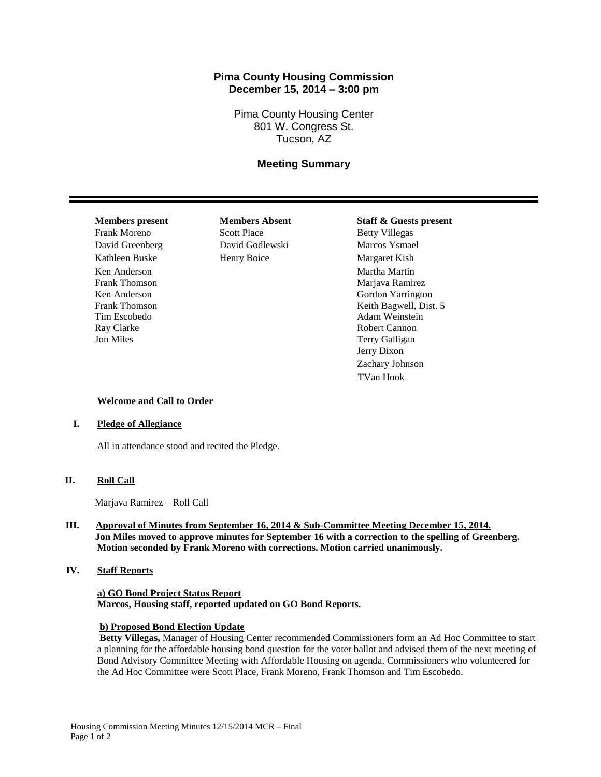# **Pima County Housing Commission December 15, 2014 – 3:00 pm**

Pima County Housing Center 801 W. Congress St. Tucson, AZ

# **Meeting Summary**

David Greenberg David Godlewski Marcos Ysmael Kathleen Buske Henry Boice Margaret Kish Ken Anderson Martha Martin Martha Martin Martha Martin Martha Martin Martha Martin Martha Martin Martin Martha Martin Martin Martin Martin Martin Martin Martin Martin Martin Martin Martin Martin Martin Martin Martin Martin Frank Thomson Marjava Ramirez Tim Escobedo Adam Weinstein Ray Clarke **Robert Cannon** Jon Miles Terry Galligan

Frank Moreno Scott Place Betty Villegas

# **Members present Members Absent Staff & Guests present**

Ken Anderson Gordon Yarrington Frank Thomson **Keith Bagwell**, Dist. 5 Jerry Dixon Zachary Johnson TVan Hook

#### **Welcome and Call to Order**

#### **I. Pledge of Allegiance**

All in attendance stood and recited the Pledge.

## **II. Roll Call**

Marjava Ramirez – Roll Call

## **III. Approval of Minutes from September 16, 2014 & Sub-Committee Meeting December 15, 2014. Jon Miles moved to approve minutes for September 16 with a correction to the spelling of Greenberg. Motion seconded by Frank Moreno with corrections. Motion carried unanimously.**

#### **IV. Staff Reports**

# **a) GO Bond Project Status Report Marcos, Housing staff, reported updated on GO Bond Reports.**

#### **b) Proposed Bond Election Update**

**Betty Villegas,** Manager of Housing Center recommended Commissioners form an Ad Hoc Committee to start a planning for the affordable housing bond question for the voter ballot and advised them of the next meeting of Bond Advisory Committee Meeting with Affordable Housing on agenda. Commissioners who volunteered for the Ad Hoc Committee were Scott Place, Frank Moreno, Frank Thomson and Tim Escobedo.